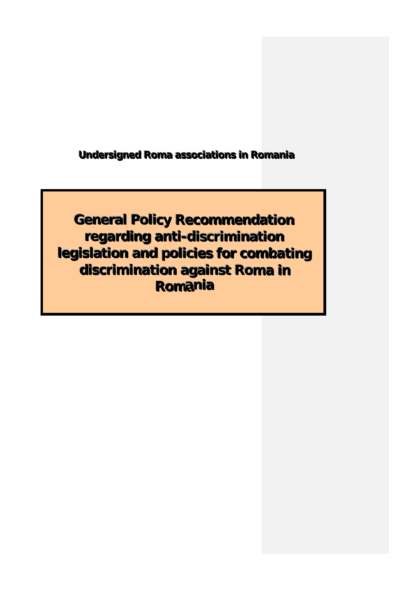**Undersigned Roma associations in Romania** 

**General Policy Recommendation regarding anti-discrimination legislation and policies for combating discrimination against Roma in Romania**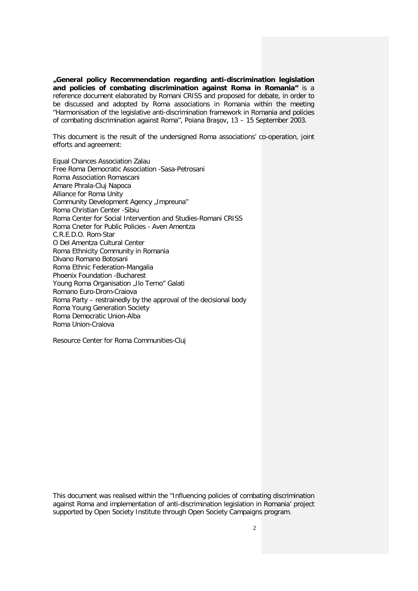**"General policy Recommendation regarding anti-discrimination legislation and policies of combating discrimination against Roma in Romania"** is a reference document elaborated by Romani CRISS and proposed for debate, in order to be discussed and adopted by Roma associations in Romania within the meeting "Harmonisation of the legislative anti-discrimination framework in Romania and policies of combating discrimination against Roma", Poiana Braşov, 13 – 15 September 2003.

This document is the result of the undersigned Roma associations' co-operation, joint efforts and agreement:

Equal Chances Association Zalau Free Roma Democratic Association -Sasa-Petrosani Roma Association Romascani Amare Phrala-Cluj Napoca Alliance for Roma Unity Community Development Agency "Impreuna" Roma Christian Center -Sibiu Roma Center for Social Intervention and Studies-Romani CRISS Roma Cneter for Public Policies - Aven Amentza C.R.E.D.O. Rom-Star O Del Amentza Cultural Center Roma Ethnicity Community in Romania Divano Romano Botosani Roma Ethnic Federation-Mangalia Phoenix Foundation -Bucharest Young Roma Organisation "Ilo Terno" Galati Romano Euro-Drom-Craiova Roma Party – restrainedly by the approval of the decisional body Roma Young Generation Society Roma Democratic Union-Alba Roma Union-Craiova

Resource Center for Roma Communities-Cluj

This document was realised within the "Influencing policies of combating discrimination against Roma and implementation of anti-discrimination legislation in Romania' project supported by Open Society Institute through Open Society Campaigns program.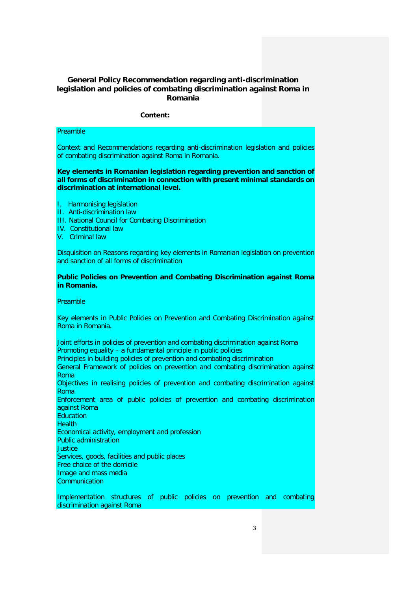## **General Policy Recommendation regarding anti-discrimination legislation and policies of combating discrimination against Roma in Romania**

#### **Content:**

#### Preamble

Context and Recommendations regarding anti-discrimination legislation and policies of combating discrimination against Roma in Romania.

#### **Key elements in Romanian legislation regarding prevention and sanction of all forms of discrimination in connection with present minimal standards on discrimination at international level.**

- I. Harmonising legislation
- II. Anti-discrimination law
- III. National Council for Combating Discrimination
- IV. Constitutional law
- V. Criminal law

Disquisition on Reasons regarding key elements in Romanian legislation on prevention and sanction of all forms of discrimination

#### **Public Policies on Prevention and Combating Discrimination against Roma in Romania.**

Preamble

Key elements in Public Policies on Prevention and Combating Discrimination against Roma in Romania.

Joint efforts in policies of prevention and combating discrimination against Roma Promoting equality – a fundamental principle in public policies

Principles in building policies of prevention and combating discrimination

General Framework of policies on prevention and combating discrimination against Roma

Objectives in realising policies of prevention and combating discrimination against Roma

Enforcement area of public policies of prevention and combating discrimination against Roma

- **Education**
- **Health**

Economical activity, employment and profession

Public administration

**Justice** 

Services, goods, facilities and public places

Free choice of the domicile

Image and mass media

**Communication** 

Implementation structures of public policies on prevention and combating discrimination against Roma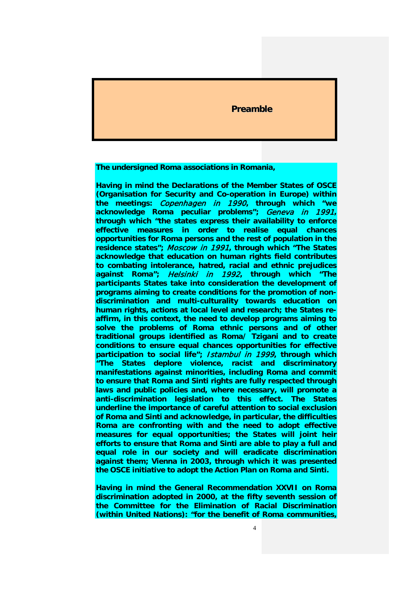## **Preamble**

#### **The undersigned Roma associations in Romania,**

**Having in mind the Declarations of the Member States of OSCE (Organisation for Security and Co-operation in Europe) within the meetings:** Copenhagen in 1990**, through which "we acknowledge Roma peculiar problems";** Geneva in 1991**, through which "the states express their availability to enforce effective measures in order to realise equal chances opportunities for Roma persons and the rest of population in the residence states";** Moscow in 1991**, through which "The States acknowledge that education on human rights field contributes to combating intolerance, hatred, racial and ethnic prejudices against Roma";** Helsinki in 1992**, through which "The participants States take into consideration the development of programs aiming to create conditions for the promotion of nondiscrimination and multi-culturality towards education on human rights, actions at local level and research; the States reaffirm, in this context, the need to develop programs aiming to solve the problems of Roma ethnic persons and of other traditional groups identified as Roma/ Tzigani and to create conditions to ensure equal chances opportunities for effective participation to social life";** Istambul in 1999**, through which "The States deplore violence, racist and discriminatory manifestations against minorities, including Roma and commit to ensure that Roma and Sinti rights are fully respected through laws and public policies and, where necessary, will promote a anti-discrimination legislation to this effect. The States underline the importance of careful attention to social exclusion of Roma and Sinti and acknowledge, in particular, the difficulties Roma are confronting with and the need to adopt effective measures for equal opportunities; the States will joint heir efforts to ensure that Roma and Sinti are able to play a full and equal role in our society and will eradicate discrimination against them; Vienna in 2003, through which it was presented the OSCE initiative to adopt the Action Plan on Roma and Sinti.** 

**Having in mind the General Recommendation XXVII on Roma discrimination adopted in 2000, at the fifty seventh session of the Committee for the Elimination of Racial Discrimination (within United Nations): "for the benefit of Roma communities,**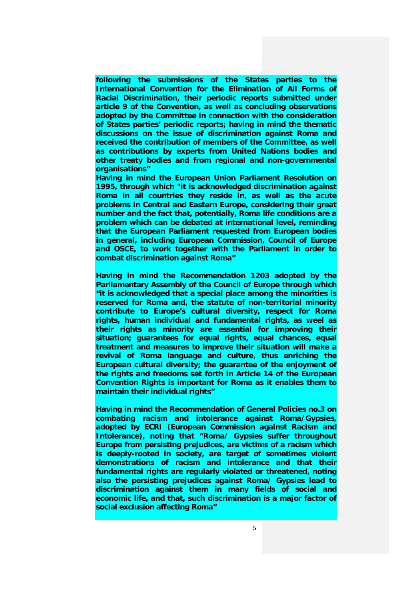**following the submissions of the States parties to the International Convention for the Elimination of All Forms of Racial Discrimination, their periodic reports submitted under article 9 of the Convention, as well as concluding observations adopted by the Committee in connection with the consideration of States parties' periodic reports; having in mind the thematic discussions on the issue of discrimination against Roma and received the contribution of members of the Committee, as well as contributions by experts from United Nations bodies and other treaty bodies and from regional and non-governmental organisations"**

**Having in mind the European Union Parliament Resolution on 1995, through which "it is acknowledged discrimination against Roma in all countries they reside in, as well as the acute problems in Central and Eastern Europe, considering their great number and the fact that, potentially, Roma life conditions are a problem which can be debated at international level, reminding that the European Parliament requested from European bodies in general, including European Commission, Council of Europe and OSCE, to work together with the Parliament in order to combat discrimination against Roma"**

**Having in mind the Recommendation 1203 adopted by the Parliamentary Assembly of the Council of Europe through which "it is acknowledged that a special place among the minorities is reserved for Roma and, the statute of non-territorial minority contribute to Europe's cultural diversity, respect for Roma rights, human individual and fundamental rights, as weel as their rights as minority are essential for improving their situation; guarantees for equal rights, equal chances, equal treatment and measures to improve their situation will make a revival of Roma language and culture, thus enriching the European cultural diversity; the guarantee of the enjoyment of the rights and freedoms set forth in Article 14 of the European Convention Rights is important for Roma as it enables them to maintain their individual rights"**

**Having in mind the Recommendation of General Policies no.3 on combating racism and intolerance against Roma/Gypsies, adopted by ECRI (European Commission against Racism and Intolerance), noting that "Roma/ Gypsies suffer throughout Europe from persisting prejudices, are victims of a racism which is deeply-rooted in society, are target of sometimes violent demonstrations of racism and intolerance and that their fundamental rights are regularly violated or threatened, noting also the persisting prejudices against Roma/ Gypsies lead to discrimination against them in many fields of social and economic life, and that, such discrimination is a major factor of social exclusion affecting Roma"**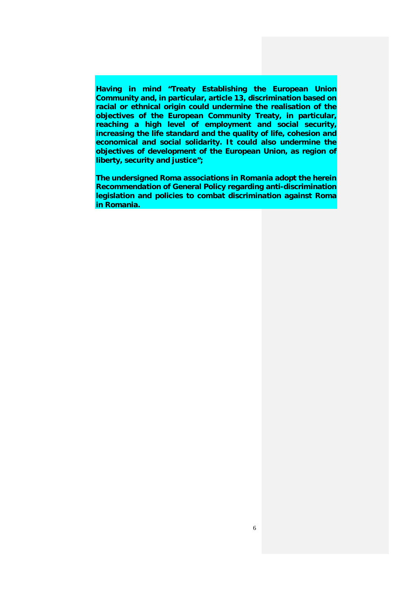**Having in mind "Treaty Establishing the European Union Community and, in particular, article 13, discrimination based on racial or ethnical origin could undermine the realisation of the objectives of the European Community Treaty, in particular, reaching a high level of employment and social security, increasing the life standard and the quality of life, cohesion and economical and social solidarity. It could also undermine the objectives of development of the European Union, as region of liberty, security and justice";**

**The undersigned Roma associations in Romania adopt the herein Recommendation of General Policy regarding anti-discrimination legislation and policies to combat discrimination against Roma in Romania.**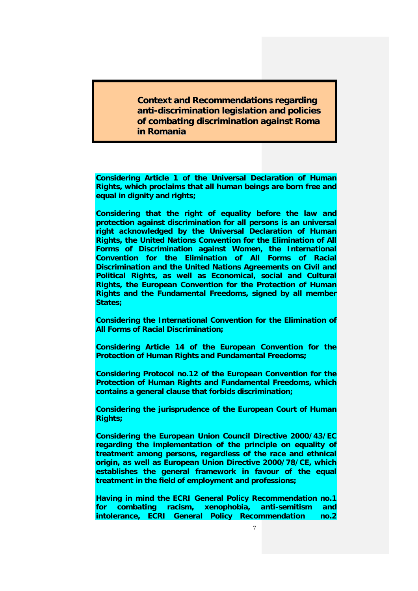**Context and Recommendations regarding anti-discrimination legislation and policies of combating discrimination against Roma in Romania**

**Considering Article 1 of the Universal Declaration of Human Rights, which proclaims that all human beings are born free and equal in dignity and rights;** 

**Considering that the right of equality before the law and protection against discrimination for all persons is an universal right acknowledged by the Universal Declaration of Human Rights, the United Nations Convention for the Elimination of All Forms of Discrimination against Women, the International Convention for the Elimination of All Forms of Racial Discrimination and the United Nations Agreements on Civil and Political Rights, as well as Economical, social and Cultural Rights, the European Convention for the Protection of Human Rights and the Fundamental Freedoms, signed by all member States;**

**Considering the International Convention for the Elimination of All Forms of Racial Discrimination;**

**Considering Article 14 of the European Convention for the Protection of Human Rights and Fundamental Freedoms;**

**Considering Protocol no.12 of the European Convention for the Protection of Human Rights and Fundamental Freedoms, which contains a general clause that forbids discrimination;**

**Considering the jurisprudence of the European Court of Human Rights;**

**Considering the European Union Council Directive 2000/43/EC regarding the implementation of the principle on equality of treatment among persons, regardless of the race and ethnical origin, as well as European Union Directive 2000/78/CE, which establishes the general framework in favour of the equal treatment in the field of employment and professions;** 

**Having in mind the ECRI General Policy Recommendation no.1 for combating racism, xenophobia, anti-semitism and intolerance, ECRI General Policy Recommendation no.2**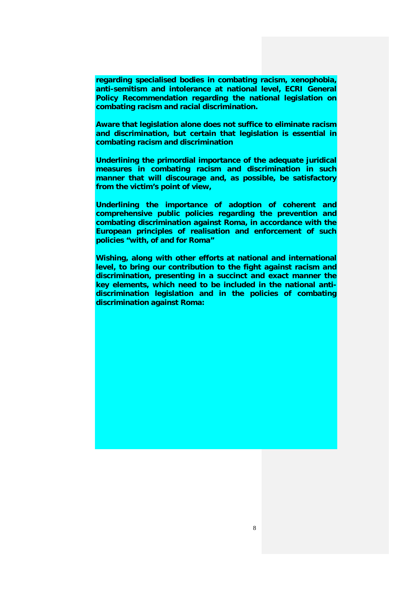**regarding specialised bodies in combating racism, xenophobia, anti-semitism and intolerance at national level, ECRI General Policy Recommendation regarding the national legislation on combating racism and racial discrimination.** 

**Aware that legislation alone does not suffice to eliminate racism and discrimination, but certain that legislation is essential in combating racism and discrimination**

**Underlining the primordial importance of the adequate juridical measures in combating racism and discrimination in such manner that will discourage and, as possible, be satisfactory from the victim's point of view,**

**Underlining the importance of adoption of coherent and comprehensive public policies regarding the prevention and combating discrimination against Roma, in accordance with the European principles of realisation and enforcement of such policies "with, of and for Roma"** 

**Wishing, along with other efforts at national and international level, to bring our contribution to the fight against racism and discrimination, presenting in a succinct and exact manner the key elements, which need to be included in the national antidiscrimination legislation and in the policies of combating discrimination against Roma:**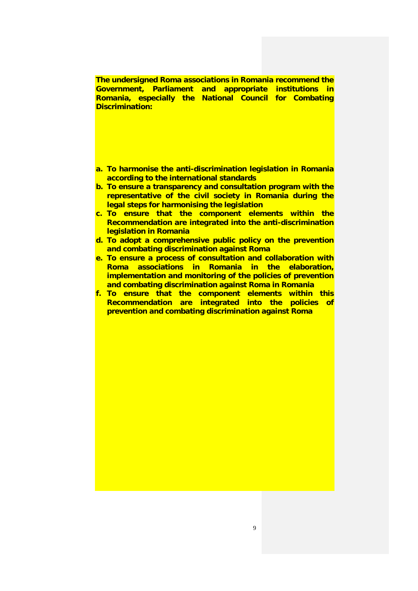**The undersigned Roma associations in Romania recommend the Government, Parliament and appropriate institutions in Romania, especially the National Council for Combating Discrimination:** 

- **a. To harmonise the anti-discrimination legislation in Romania according to the international standards**
- **b. To ensure a transparency and consultation program with the representative of the civil society in Romania during the legal steps for harmonising the legislation**
- **c. To ensure that the component elements within the Recommendation are integrated into the anti-discrimination legislation in Romania**
- **d. To adopt a comprehensive public policy on the prevention and combating discrimination against Roma**
- **e. To ensure a process of consultation and collaboration with Roma associations in Romania in the elaboration, implementation and monitoring of the policies of prevention and combating discrimination against Roma in Romania**
- **f. To ensure that the component elements within this Recommendation are integrated into the policies of prevention and combating discrimination against Roma**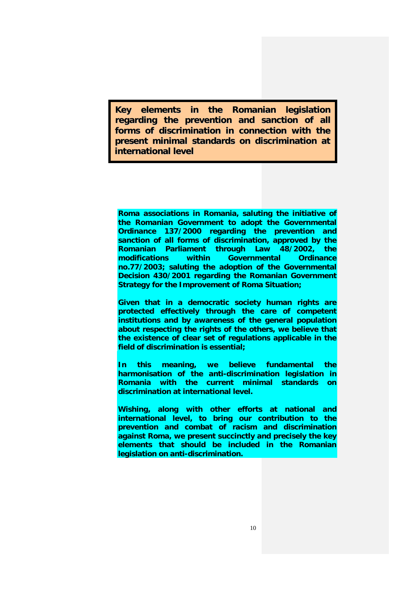**Key elements in the Romanian legislation regarding the prevention and sanction of all forms of discrimination in connection with the present minimal standards on discrimination at international level**

**Roma associations in Romania, saluting the initiative of the Romanian Government to adopt the Governmental Ordinance 137/2000 regarding the prevention and sanction of all forms of discrimination, approved by the Romanian Parliament through Law 48/2002, the modifications within Governmental Ordinance no.77/2003; saluting the adoption of the Governmental Decision 430/2001 regarding the Romanian Government Strategy for the Improvement of Roma Situation;** 

**Given that in a democratic society human rights are protected effectively through the care of competent institutions and by awareness of the general population about respecting the rights of the others, we believe that the existence of clear set of regulations applicable in the field of discrimination is essential;** 

**In this meaning, we believe fundamental the harmonisation of the anti-discrimination legislation in Romania with the current minimal standards on discrimination at international level.** 

**Wishing, along with other efforts at national and international level, to bring our contribution to the prevention and combat of racism and discrimination against Roma, we present succinctly and precisely the key elements that should be included in the Romanian legislation on anti-discrimination.**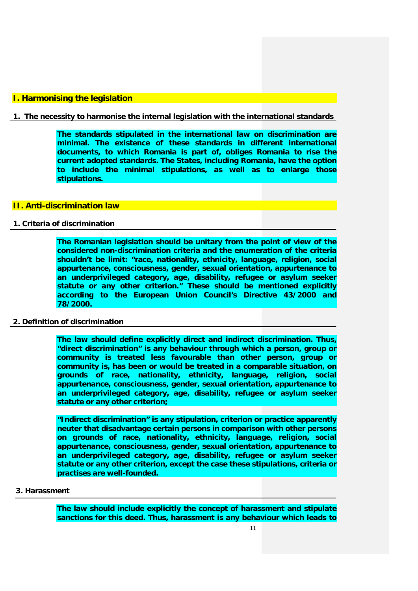#### **I. Harmonising the legislation**

#### **1. The necessity to harmonise the internal legislation with the international standards**

**The standards stipulated in the international law on discrimination are minimal. The existence of these standards in different international documents, to which Romania is part of, obliges Romania to rise the current adopted standards. The States, including Romania, have the option to include the minimal stipulations, as well as to enlarge those stipulations.** 

### **II. Anti-discrimination law**

## **1. Criteria of discrimination**

**The Romanian legislation should be unitary from the point of view of the considered non-discrimination criteria and the enumeration of the criteria shouldn't be limit: "race, nationality, ethnicity, language, religion, social appurtenance, consciousness, gender, sexual orientation, appurtenance to an underprivileged category, age, disability, refugee or asylum seeker statute or any other criterion." These should be mentioned explicitly according to the European Union Council's Directive 43/2000 and 78/2000.**

## **2. Definition of discrimination**

**The law should define explicitly direct and indirect discrimination. Thus, "direct discrimination" is any behaviour through which a person, group or community is treated less favourable than other person, group or community is, has been or would be treated in a comparable situation, on grounds of race, nationality, ethnicity, language, religion, social appurtenance, consciousness, gender, sexual orientation, appurtenance to an underprivileged category, age, disability, refugee or asylum seeker statute or any other criterion;**

**"Indirect discrimination" is any stipulation, criterion or practice apparently neuter that disadvantage certain persons in comparison with other persons on grounds of race, nationality, ethnicity, language, religion, social appurtenance, consciousness, gender, sexual orientation, appurtenance to an underprivileged category, age, disability, refugee or asylum seeker statute or any other criterion, except the case these stipulations, criteria or practises are well-founded.** 

#### **3. Harassment**

**The law should include explicitly the concept of harassment and stipulate sanctions for this deed. Thus, harassment is any behaviour which leads to**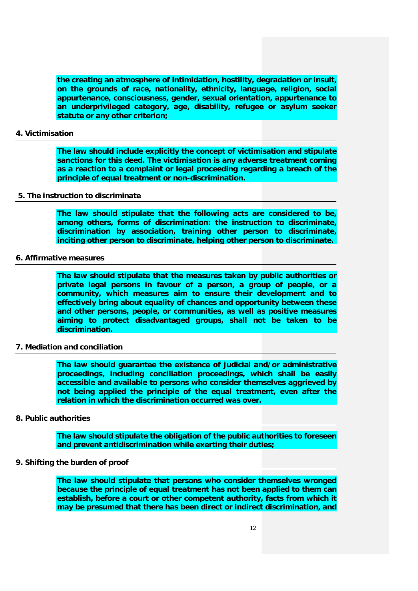**the creating an atmosphere of intimidation, hostility, degradation or insult, on the grounds of race, nationality, ethnicity, language, religion, social appurtenance, consciousness, gender, sexual orientation, appurtenance to an underprivileged category, age, disability, refugee or asylum seeker statute or any other criterion;** 

#### **4. Victimisation**

**The law should include explicitly the concept of victimisation and stipulate sanctions for this deed. The victimisation is any adverse treatment coming as a reaction to a complaint or legal proceeding regarding a breach of the principle of equal treatment or non-discrimination.** 

#### **5. The instruction to discriminate**

**The law should stipulate that the following acts are considered to be, among others, forms of discrimination: the instruction to discriminate, discrimination by association, training other person to discriminate, inciting other person to discriminate, helping other person to discriminate.** 

## **6. Affirmative measures**

**The law should stipulate that the measures taken by public authorities or private legal persons in favour of a person, a group of people, or a community, which measures aim to ensure their development and to effectively bring about equality of chances and opportunity between these and other persons, people, or communities, as well as positive measures aiming to protect disadvantaged groups, shall not be taken to be discrimination.**

#### **7. Mediation and conciliation**

**The law should guarantee the existence of judicial and/or administrative proceedings, including conciliation proceedings, which shall be easily accessible and available to persons who consider themselves aggrieved by not being applied the principle of the equal treatment, even after the relation in which the discrimination occurred was over.** 

## **8. Public authorities**

**The law should stipulate the obligation of the public authorities to foreseen and prevent antidiscrimination while exerting their duties;** 

### **9. Shifting the burden of proof**

**The law should stipulate that persons who consider themselves wronged because the principle of equal treatment has not been applied to them can establish, before a court or other competent authority, facts from which it may be presumed that there has been direct or indirect discrimination, and**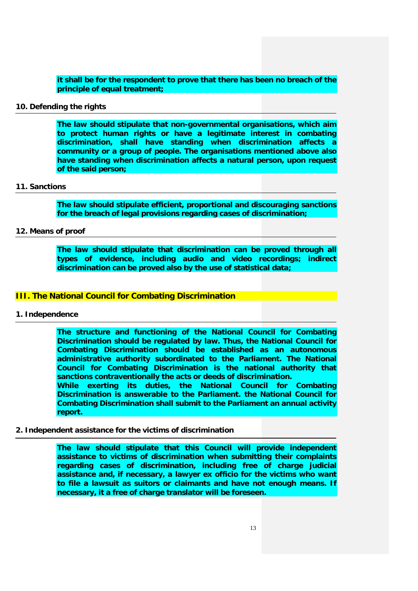**it shall be for the respondent to prove that there has been no breach of the principle of equal treatment;** 

## **10. Defending the rights**

**The law should stipulate that non-governmental organisations, which aim to protect human rights or have a legitimate interest in combating discrimination, shall have standing when discrimination affects a community or a group of people. The organisations mentioned above also have standing when discrimination affects a natural person, upon request of the said person;**

#### **11. Sanctions**

**The law should stipulate efficient, proportional and discouraging sanctions for the breach of legal provisions regarding cases of discrimination;** 

#### **12. Means of proof**

**The law should stipulate that discrimination can be proved through all types of evidence, including audio and video recordings; indirect discrimination can be proved also by the use of statistical data;** 

## **III. The National Council for Combating Discrimination**

#### **1. Independence**

**The structure and functioning of the National Council for Combating Discrimination should be regulated by law. Thus, the National Council for Combating Discrimination should be established as an autonomous administrative authority subordinated to the Parliament. The National Council for Combating Discrimination is the national authority that sanctions contraventionally the acts or deeds of discrimination.**

**While exerting its duties, the National Council for Combating Discrimination is answerable to the Parliament. the National Council for Combating Discrimination shall submit to the Parliament an annual activity report.** 

#### **2. Independent assistance for the victims of discrimination**

**The law should stipulate that this Council will provide independent assistance to victims of discrimination when submitting their complaints regarding cases of discrimination, including free of charge judicial assistance and, if necessary, a lawyer ex officio for the victims who want to file a lawsuit as suitors or claimants and have not enough means. If necessary, it a free of charge translator will be foreseen.**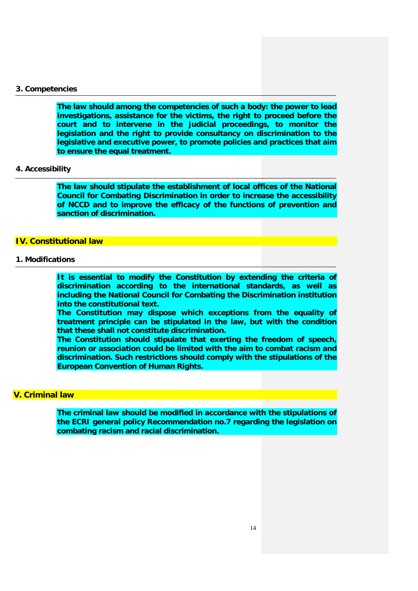#### **3. Competencies**

**The law should among the competencies of such a body: the power to lead investigations, assistance for the victims, the right to proceed before the court and to intervene in the judicial proceedings, to monitor the legislation and the right to provide consultancy on discrimination to the legislative and executive power, to promote policies and practices that aim to ensure the equal treatment.** 

#### **4. Accessibility**

**The law should stipulate the establishment of local offices of the National Council for Combating Discrimination in order to increase the accessibility of NCCD and to improve the efficacy of the functions of prevention and sanction of discrimination.** 

#### **IV. Constitutional law**

## **1. Modifications**

**It is essential to modify the Constitution by extending the criteria of discrimination according to the international standards, as well as including the National Council for Combating the Discrimination institution into the constitutional text.**

**The Constitution may dispose which exceptions from the equality of treatment principle can be stipulated in the law, but with the condition that these shall not constitute discrimination.** 

**The Constitution should stipulate that exerting the freedom of speech, reunion or association could be limited with the aim to combat racism and discrimination. Such restrictions should comply with the stipulations of the European Convention of Human Rights.** 

## **V. Criminal law**

**The criminal law should be modified in accordance with the stipulations of the ECRI general policy Recommendation no.7 regarding the legislation on combating racism and racial discrimination.**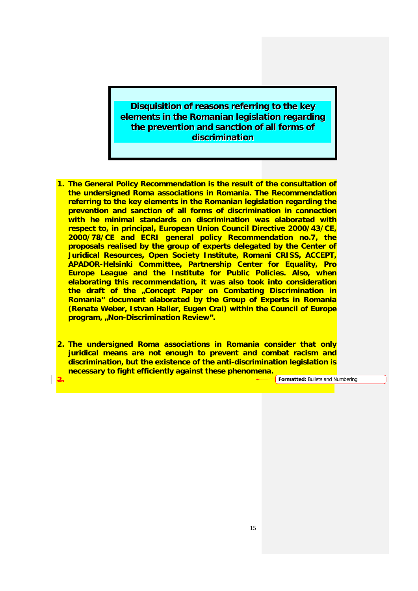**Disquisition of reasons referring to the key elements in the Romanian legislation regarding the prevention and sanction of all forms of discrimination**

- **1. The General Policy Recommendation is the result of the consultation of the undersigned Roma associations in Romania. The Recommendation referring to the key elements in the Romanian legislation regarding the prevention and sanction of all forms of discrimination in connection with he minimal standards on discrimination was elaborated with respect to, in principal, European Union Council Directive 2000/43/CE, 2000/78/CE and ECRI general policy Recommendation no.7, the proposals realised by the group of experts delegated by the Center of Juridical Resources, Open Society Institute, Romani CRISS, ACCEPT, APADOR-Helsinki Committee, Partnership Center for Equality, Pro Europe League and the Institute for Public Policies. Also, when elaborating this recommendation, it was also took into consideration the draft of the "Concept Paper on Combating Discrimination in Romania" document elaborated by the Group of Experts in Romania (Renate Weber, Istvan Haller, Eugen Crai) within the Council of Europe program, "Non-Discrimination Review".**
- **2. The undersigned Roma associations in Romania consider that only juridical means are not enough to prevent and combat racism and discrimination, but the existence of the anti-discrimination legislation is necessary to fight efficiently against these phenomena.**

**2.**

**Formatted:** Bullets and Numbering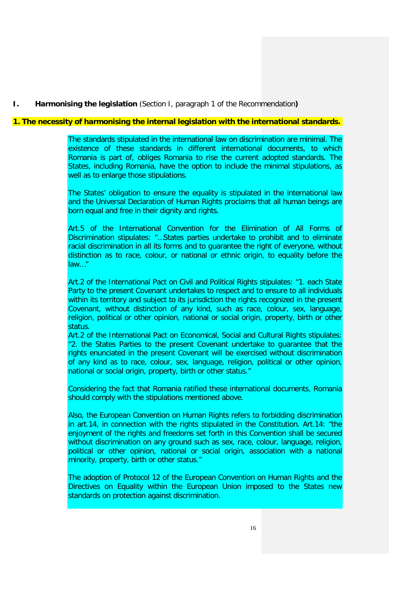## **I. Harmonising the legislation** (Section I, paragraph 1 of the Recommendation**)**

#### **1. The necessity of harmonising the internal legislation with the international standards.**

The standards stipulated in the international law on discrimination are minimal. The existence of these standards in different international documents, to which Romania is part of, obliges Romania to rise the current adopted standards. The States, including Romania, have the option to include the minimal stipulations, as well as to enlarge those stipulations.

The States' obligation to ensure the equality is stipulated in the international law and the Universal Declaration of Human Rights proclaims that all human beings are born equal and free in their dignity and rights.

Art.5 of the International Convention for the Elimination of All Forms of Discrimination stipulates: "...States parties undertake to prohibit and to eliminate racial discrimination in all its forms and to guarantee the right of everyone, without distinction as to race, colour, or national or ethnic origin, to equality before the law…"

Art.2 of the International Pact on Civil and Political Rights stipulates: "1. each State Party to the present Covenant undertakes to respect and to ensure to all individuals within its territory and subject to its jurisdiction the rights recognized in the present Covenant, without distinction of any kind, such as race, colour, sex, language, religion, political or other opinion, national or social origin, property, birth or other status.

Art.2 of the International Pact on Economical, Social and Cultural Rights stipulates: "2. the States Parties to the present Covenant undertake to guarantee that the rights enunciated in the present Covenant will be exercised without discrimination of any kind as to race, colour, sex, language, religion, political or other opinion, national or social origin, property, birth or other status."

Considering the fact that Romania ratified these international documents, Romania should comply with the stipulations mentioned above.

Also, the European Convention on Human Rights refers to forbidding discrimination in art.14, in connection with the rights stipulated in the Constitution. Art.14: "the enjoyment of the rights and freedoms set forth in this Convention shall be secured without discrimination on any ground such as sex, race, colour, language, religion, political or other opinion, national or social origin, association with a national minority, property, birth or other status."

The adoption of Protocol 12 of the European Convention on Human Rights and the Directives on Equality within the European Union imposed to the States new standards on protection against discrimination.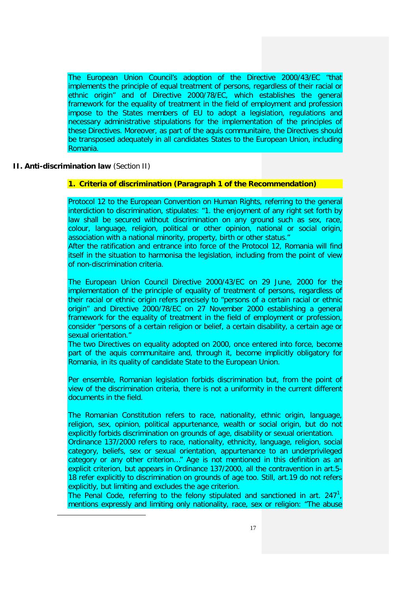The European Union Council's adoption of the Directive 2000/43/EC "that implements the principle of equal treatment of persons, regardless of their racial or ethnic origin" and of Directive 2000/78/EC, which establishes the general framework for the equality of treatment in the field of employment and profession impose to the States members of EU to adopt a legislation, regulations and necessary administrative stipulations for the implementation of the principles of these Directives. Moreover, as part of the aquis communitaire, the Directives should be transposed adequately in all candidates States to the European Union, including Romania.

## **II. Anti-discrimination law** (Section II)

<span id="page-16-0"></span>-

## **1. Criteria of discrimination (Paragraph 1 of the Recommendation)**

Protocol 12 to the European Convention on Human Rights, referring to the general interdiction to discrimination, stipulates: "1. the enjoyment of any right set forth by law shall be secured without discrimination on any ground such as sex, race, colour, language, religion, political or other opinion, national or social origin, association with a national minority, property, birth or other status."

After the ratification and entrance into force of the Protocol 12, Romania will find itself in the situation to harmonisa the legislation, including from the point of view of non-discrimination criteria.

The European Union Council Directive 2000/43/EC on 29 June, 2000 for the implementation of the principle of equality of treatment of persons, regardless of their racial or ethnic origin refers precisely to "persons of a certain racial or ethnic origin" and Directive 2000/78/EC on 27 November 2000 establishing a general framework for the equality of treatment in the field of employment or profession, consider "persons of a certain religion or belief, a certain disability, a certain age or sexual orientation."

The two Directives on equality adopted on 2000, once entered into force, become part of the aquis communitaire and, through it, become implicitly obligatory for Romania, in its quality of candidate State to the European Union.

Per ensemble, Romanian legislation forbids discrimination but, from the point of view of the discrimination criteria, there is not a uniformity in the current different documents in the field.

The Romanian Constitution refers to race, nationality, ethnic origin, language, religion, sex, opinion, political appurtenance, wealth or social origin, but do not explicitly forbids discrimination on grounds of age, disability or sexual orientation.

Ordinance 137/2000 refers to race, nationality, ethnicity, language, religion, social category, beliefs, sex or sexual orientation, appurtenance to an underprivileged category or any other criterion…" Age is not mentioned in this definition as an explicit criterion, but appears in Ordinance 137/2000, all the contravention in art.5- 18 refer explicitly to discrimination on grounds of age too. Still, art.19 do not refers explicitly, but limiting and excludes the age criterion.

The Penal Code, referring to the felony stipulated and sanctioned in art.  $247<sup>1</sup>$  $247<sup>1</sup>$  $247<sup>1</sup>$ , mentions expressly and limiting only nationality, race, sex or religion: "The abuse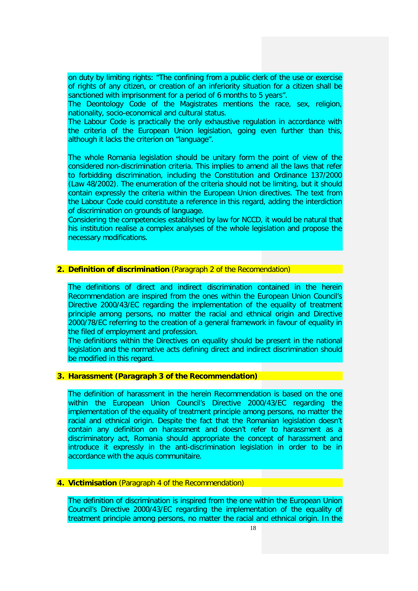on duty by limiting rights: "The confining from a public clerk of the use or exercise of rights of any citizen, or creation of an inferiority situation for a citizen shall be sanctioned with imprisonment for a period of 6 months to 5 years".

The Deontology Code of the Magistrates mentions the race, sex, religion, nationality, socio-economical and cultural status.

The Labour Code is practically the only exhaustive regulation in accordance with the criteria of the European Union legislation, going even further than this, although it lacks the criterion on "language".

The whole Romania legislation should be unitary form the point of view of the considered non-discrimination criteria. This implies to amend all the laws that refer to forbidding discrimination, including the Constitution and Ordinance 137/2000 (Law 48/2002). The enumeration of the criteria should not be limiting, but it should contain expressly the criteria within the European Union directives. The text from the Labour Code could constitute a reference in this regard, adding the interdiction of discrimination on grounds of language.

Considering the competencies established by law for NCCD, it would be natural that his institution realise a complex analyses of the whole legislation and propose the necessary modifications.

#### **2. Definition of discrimination** (Paragraph 2 of the Recomendation)

The definitions of direct and indirect discrimination contained in the herein Recommendation are inspired from the ones within the European Union Council's Directive 2000/43/EC regarding the implementation of the equality of treatment principle among persons, no matter the racial and ethnical origin and Directive 2000/78/EC referring to the creation of a general framework in favour of equality in the filed of employment and profession.

The definitions within the Directives on equality should be present in the national legislation and the normative acts defining direct and indirect discrimination should be modified in this regard.

### **3. Harassment (Paragraph 3 of the Recommendation)**

The definition of harassment in the herein Recommendation is based on the one within the European Union Council's Directive 2000/43/EC regarding the implementation of the equality of treatment principle among persons, no matter the racial and ethnical origin. Despite the fact that the Romanian legislation doesn't contain any definition on harassment and doesn't refer to harassment as a discriminatory act, Romania should appropriate the concept of harassment and introduce it expressly in the anti-discrimination legislation in order to be in accordance with the aquis communitaire.

#### **4. Victimisation** (Paragraph 4 of the Recommendation)

The definition of discrimination is inspired from the one within the European Union Council's Directive 2000/43/EC regarding the implementation of the equality of treatment principle among persons, no matter the racial and ethnical origin. In the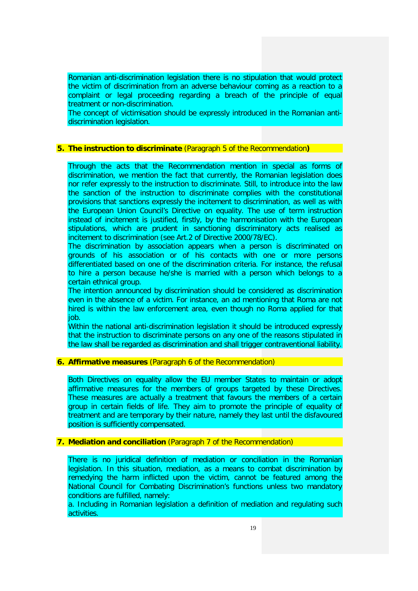Romanian anti-discrimination legislation there is no stipulation that would protect the victim of discrimination from an adverse behaviour coming as a reaction to a complaint or legal proceeding regarding a breach of the principle of equal treatment or non-discrimination.

The concept of victimisation should be expressly introduced in the Romanian antidiscrimination legislation.

## **5. The instruction to discriminate** (Paragraph 5 of the Recommendation**)**

Through the acts that the Recommendation mention in special as forms of discrimination, we mention the fact that currently, the Romanian legislation does nor refer expressly to the instruction to discriminate. Still, to introduce into the law the sanction of the instruction to discriminate complies with the constitutional provisions that sanctions expressly the incitement to discrimination, as well as with the European Union Council's Directive on equality. The use of term instruction instead of incitement is justified, firstly, by the harmonisation with the European stipulations, which are prudent in sanctioning discriminatory acts realised as incitement to discrimination (see Art.2 of Directive 2000/78/EC).

The discrimination by association appears when a person is discriminated on grounds of his association or of his contacts with one or more persons differentiated based on one of the discrimination criteria. For instance, the refusal to hire a person because he/she is married with a person which belongs to a certain ethnical group.

The intention announced by discrimination should be considered as discrimination even in the absence of a victim. For instance, an ad mentioning that Roma are not hired is within the law enforcement area, even though no Roma applied for that iob.

Within the national anti-discrimination legislation it should be introduced expressly that the instruction to discriminate persons on any one of the reasons stipulated in the law shall be regarded as discrimination and shall trigger contraventional liability.

## **6. Affirmative measures** (Paragraph 6 of the Recommendation)

Both Directives on equality allow the EU member States to maintain or adopt affirmative measures for the members of groups targeted by these Directives. These measures are actually a treatment that favours the members of a certain group in certain fields of life. They aim to promote the principle of equality of treatment and are temporary by their nature, namely they last until the disfavoured position is sufficiently compensated.

#### **7. Mediation and conciliation** (Paragraph 7 of the Recommendation)

There is no juridical definition of mediation or conciliation in the Romanian legislation. In this situation, mediation, as a means to combat discrimination by remedying the harm inflicted upon the victim, cannot be featured among the National Council for Combating Discrimination's functions unless two mandatory conditions are fulfilled, namely:

a. Including in Romanian legislation a definition of mediation and regulating such activities.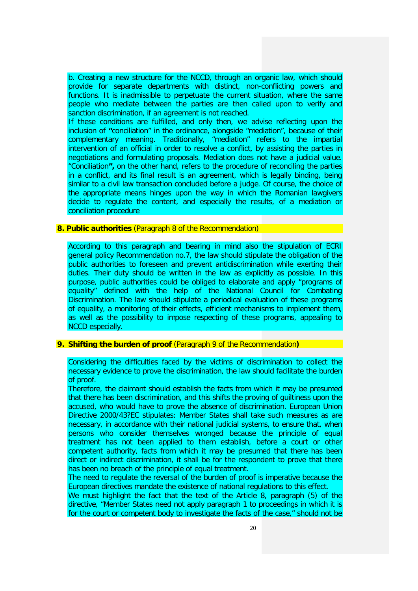b. Creating a new structure for the NCCD, through an organic law, which should provide for separate departments with distinct, non-conflicting powers and functions. It is inadmissible to perpetuate the current situation, where the same people who mediate between the parties are then called upon to verify and sanction discrimination, if an agreement is not reached.

If these conditions are fulfilled, and only then, we advise reflecting upon the inclusion of **"**conciliation" in the ordinance, alongside "mediation", because of their complementary meaning. Traditionally, "mediation" refers to the impartial intervention of an official in order to resolve a conflict, by assisting the parties in negotiations and formulating proposals. Mediation does not have a judicial value. "Conciliation**",** on the other hand, refers to the procedure of reconciling the parties in a conflict, and its final result is an agreement, which is legally binding, being similar to a civil law transaction concluded before a judge. Of course, the choice of the appropriate means hinges upon the way in which the Romanian lawgivers decide to regulate the content, and especially the results, of a mediation or conciliation procedure

## **8. Public authorities** (Paragraph 8 of the Recommendation)

According to this paragraph and bearing in mind also the stipulation of ECRI general policy Recommendation no.7, the law should stipulate the obligation of the public authorities to foreseen and prevent antidiscrimination while exerting their duties. Their duty should be written in the law as explicitly as possible. In this purpose, public authorities could be obliged to elaborate and apply "programs of equality" defined with the help of the National Council for Combating Discrimination. The law should stipulate a periodical evaluation of these programs of equality, a monitoring of their effects, efficient mechanisms to implement them, as well as the possibility to impose respecting of these programs, appealing to NCCD especially.

### **9. Shifting the burden of proof** (Paragraph 9 of the Recommendation**)**

Considering the difficulties faced by the victims of discrimination to collect the necessary evidence to prove the discrimination, the law should facilitate the burden of proof.

Therefore, the claimant should establish the facts from which it may be presumed that there has been discrimination, and this shifts the proving of guiltiness upon the accused, who would have to prove the absence of discrimination. European Union Directive 2000/43?EC stipulates: Member States shall take such measures as are necessary, in accordance with their national judicial systems, to ensure that, when persons who consider themselves wronged because the principle of equal treatment has not been applied to them establish, before a court or other competent authority, facts from which it may be presumed that there has been direct or indirect discrimination, it shall be for the respondent to prove that there has been no breach of the principle of equal treatment.

The need to regulate the reversal of the burden of proof is imperative because the European directives mandate the existence of national regulations to this effect.

We must highlight the fact that the text of the Article 8, paragraph (5) of the directive, "Member States need not apply paragraph 1 to proceedings in which it is for the court or competent body to investigate the facts of the case," should not be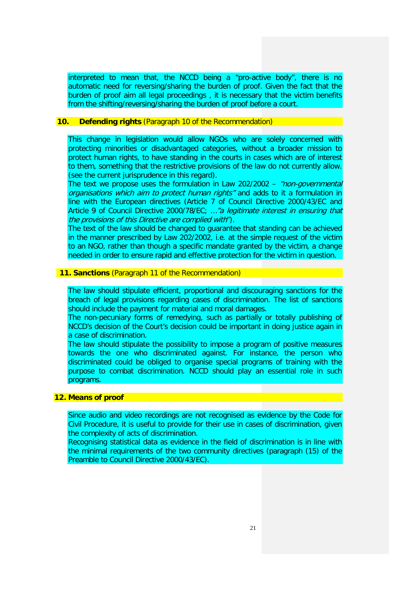interpreted to mean that, the NCCD being a "pro-active body", there is no automatic need for reversing/sharing the burden of proof. Given the fact that the burden of proof aim all legal proceedings , it is necessary that the victim benefits from the shifting/reversing/sharing the burden of proof before a court.

## **10. Defending rights** (Paragraph 10 of the Recommendation)

This change in legislation would allow NGOs who are solely concerned with protecting minorities or disadvantaged categories, without a broader mission to protect human rights, to have standing in the courts in cases which are of interest to them, something that the restrictive provisions of the law do not currently allow. (see the current jurisprudence in this regard).

The text we propose uses the formulation in Law 202/2002 – "non-governmental organisations which aim to protect human rights" and adds to it a formulation in line with the European directives (Article 7 of Council Directive 2000/43/EC and Article 9 of Council Directive 2000/78/EC; ... "a legitimate interest in ensuring that the provisions of this Directive are complied with").

The text of the law should be changed to guarantee that standing can be achieved in the manner prescribed by Law 202/2002, i.e. at the simple request of the victim to an NGO, rather than though a specific mandate granted by the victim, a change needed in order to ensure rapid and effective protection for the victim in question.

#### **11. Sanctions** (Paragraph 11 of the Recommendation)

The law should stipulate efficient, proportional and discouraging sanctions for the breach of legal provisions regarding cases of discrimination. The list of sanctions should include the payment for material and moral damages.

The non-pecuniary forms of remedying, such as partially or totally publishing of NCCD's decision of the Court's decision could be important in doing justice again in a case of discrimination.

The law should stipulate the possibility to impose a program of positive measures towards the one who discriminated against. For instance, the person who discriminated could be obliged to organise special programs of training with the purpose to combat discrimination. NCCD should play an essential role in such programs.

## **12. Means of proof**

Since audio and video recordings are not recognised as evidence by the Code for Civil Procedure, it is useful to provide for their use in cases of discrimination, given the complexity of acts of discrimination.

Recognising statistical data as evidence in the field of discrimination is in line with the minimal requirements of the two community directives (paragraph (15) of the Preamble to Council Directive 2000/43/EC).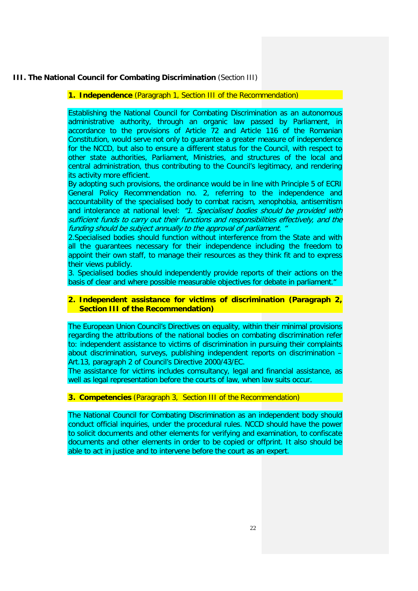## **III. The National Council for Combating Discrimination** (Section III)

### **1. Independence** (Paragraph 1, Section III of the Recommendation)

Establishing the National Council for Combating Discrimination as an autonomous administrative authority, through an organic law passed by Parliament, in accordance to the provisions of Article 72 and Article 116 of the Romanian Constitution, would serve not only to guarantee a greater measure of independence for the NCCD, but also to ensure a different status for the Council, with respect to other state authorities, Parliament, Ministries, and structures of the local and central administration, thus contributing to the Council's legitimacy, and rendering its activity more efficient.

By adopting such provisions, the ordinance would be in line with Principle 5 of ECRI General Policy Recommendation no. 2, referring to the independence and accountability of the specialised body to combat racism, xenophobia, antisemitism and intolerance at national level: "1. Specialised bodies should be provided with sufficient funds to carry out their functions and responsibilities effectively, and the funding should be subject annually to the approval of parliament.

2.Specialised bodies should function without interference from the State and with all the guarantees necessary for their independence including the freedom to appoint their own staff, to manage their resources as they think fit and to express their views publicly.

3. Specialised bodies should independently provide reports of their actions on the basis of clear and where possible measurable objectives for debate in parliament."

## **2. Independent assistance for victims of discrimination (Paragraph 2, Section III of the Recommendation)**

The European Union Council's Directives on equality, within their minimal provisions regarding the attributions of the national bodies on combating discrimination refer to: independent assistance to victims of discrimination in pursuing their complaints about discrimination, surveys, publishing independent reports on discrimination – Art.13, paragraph 2 of Council's Directive 2000/43/EC.

The assistance for victims includes comsultancy, legal and financial assistance, as well as legal representation before the courts of law, when law suits occur.

## **3. Competencies** (Paragraph 3, Section III of the Recommendation)

The National Council for Combating Discrimination as an independent body should conduct official inquiries, under the procedural rules. NCCD should have the power to solicit documents and other elements for verifying and examination, to confiscate documents and other elements in order to be copied or offprint. It also should be able to act in justice and to intervene before the court as an expert.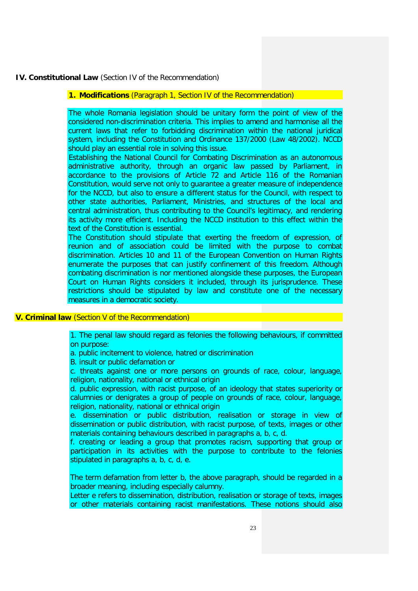## **IV. Constitutional Law** (Section IV of the Recommendation)

#### **1. Modifications** (Paragraph 1, Section IV of the Recommendation)

The whole Romania legislation should be unitary form the point of view of the considered non-discrimination criteria. This implies to amend and harmonise all the current laws that refer to forbidding discrimination within the national juridical system, including the Constitution and Ordinance 137/2000 (Law 48/2002). NCCD should play an essential role in solving this issue.

Establishing the National Council for Combating Discrimination as an autonomous administrative authority, through an organic law passed by Parliament, in accordance to the provisions of Article 72 and Article 116 of the Romanian Constitution, would serve not only to guarantee a greater measure of independence for the NCCD, but also to ensure a different status for the Council, with respect to other state authorities, Parliament, Ministries, and structures of the local and central administration, thus contributing to the Council's legitimacy, and rendering its activity more efficient. Including the NCCD institution to this effect within the text of the Constitution is essential.

The Constitution should stipulate that exerting the freedom of expression, of reunion and of association could be limited with the purpose to combat discrimination. Articles 10 and 11 of the European Convention on Human Rights enumerate the purposes that can justify confinement of this freedom. Although combating discrimination is nor mentioned alongside these purposes, the European Court on Human Rights considers it included, through its jurisprudence. These restrictions should be stipulated by law and constitute one of the necessary measures in a democratic society.

#### **V. Criminal law** (Section V of the Recommendation)

1. The penal law should regard as felonies the following behaviours, if committed on purpose:

a. public incitement to violence, hatred or discrimination

B. insult or public defamation or

c. threats against one or more persons on grounds of race, colour, language, religion, nationality, national or ethnical origin

d. public expression, with racist purpose, of an ideology that states superiority or calumnies or denigrates a group of people on grounds of race, colour, language, religion, nationality, national or ethnical origin

dissemination or public distribution, realisation or storage in view of dissemination or public distribution, with racist purpose, of texts, images or other materials containing behaviours described in paragraphs a, b, c, d.

f. creating or leading a group that promotes racism, supporting that group or participation in its activities with the purpose to contribute to the felonies stipulated in paragraphs a, b, c, d, e.

The term defamation from letter b, the above paragraph, should be regarded in a broader meaning, including especially calumny.

Letter e refers to dissemination, distribution, realisation or storage of texts, images or other materials containing racist manifestations. These notions should also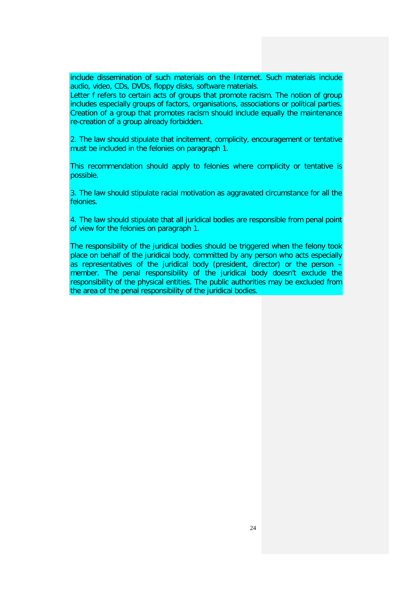include dissemination of such materials on the Internet. Such materials include audio, video, CDs, DVDs, floppy disks, software materials.

Letter f refers to certain acts of groups that promote racism. The notion of group includes especially groups of factors, organisations, associations or political parties. Creation of a group that promotes racism should include equally the maintenance re-creation of a group already forbidden.

2. The law should stipulate that incitement, complicity, encouragement or tentative must be included in the felonies on paragraph 1.

This recommendation should apply to felonies where complicity or tentative is possible.

3. The law should stipulate racial motivation as aggravated circumstance for all the felonies.

4. The law should stipulate that all juridical bodies are responsible from penal point of view for the felonies on paragraph 1.

The responsibility of the juridical bodies should be triggered when the felony took place on behalf of the juridical body, committed by any person who acts especially as representatives of the juridical body (president, director) or the person – member. The penal responsibility of the juridical body doesn't exclude the responsibility of the physical entities. The public authorities may be excluded from the area of the penal responsibility of the juridical bodies.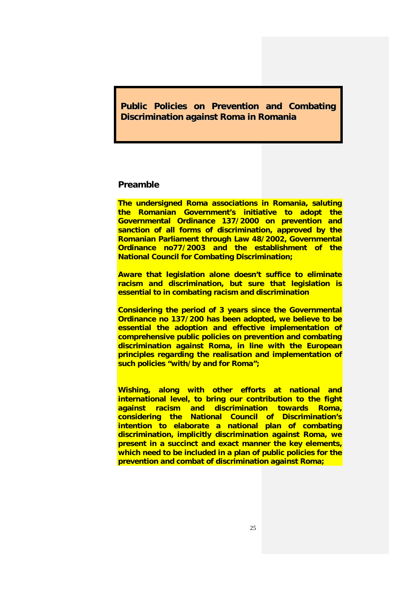**Public Policies on Prevention and Combating Discrimination against Roma in Romania**

## **Preamble**

**The undersigned Roma associations in Romania, saluting the Romanian Government's initiative to adopt the Governmental Ordinance 137/2000 on prevention and sanction of all forms of discrimination, approved by the Romanian Parliament through Law 48/2002, Governmental Ordinance no77/2003 and the establishment of the National Council for Combating Discrimination;**

**Aware that legislation alone doesn't suffice to eliminate racism and discrimination, but sure that legislation is essential to in combating racism and discrimination**

**Considering the period of 3 years since the Governmental Ordinance no 137/200 has been adopted, we believe to be essential the adoption and effective implementation of comprehensive public policies on prevention and combating discrimination against Roma, in line with the European principles regarding the realisation and implementation of such policies "with/by and for Roma";** 

**Wishing, along with other efforts at national and international level, to bring our contribution to the fight against racism and discrimination towards Roma, considering the National Council of Discrimination's intention to elaborate a national plan of combating discrimination, implicitly discrimination against Roma, we present in a succinct and exact manner the key elements, which need to be included in a plan of public policies for the prevention and combat of discrimination against Roma;**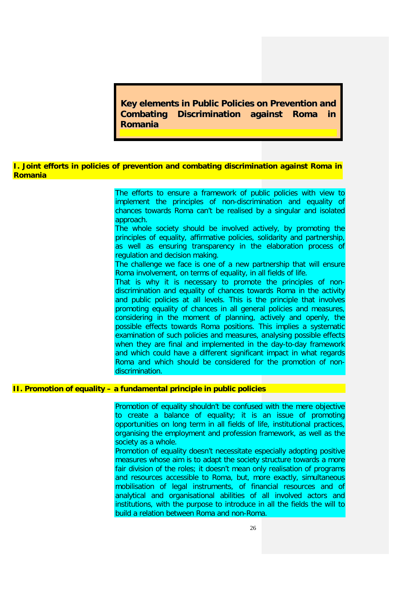**Key elements in Public Policies on Prevention and Combating Discrimination against Roma in Romania**

## **I. Joint efforts in policies of prevention and combating discrimination against Roma in Romania**

The efforts to ensure a framework of public policies with view to implement the principles of non-discrimination and equality of chances towards Roma can't be realised by a singular and isolated approach.

The whole society should be involved actively, by promoting the principles of equality, affirmative policies, solidarity and partnership, as well as ensuring transparency in the elaboration process of regulation and decision making.

The challenge we face is one of a new partnership that will ensure Roma involvement, on terms of equality, in all fields of life.

That is why it is necessary to promote the principles of nondiscrimination and equality of chances towards Roma in the activity and public policies at all levels. This is the principle that involves promoting equality of chances in all general policies and measures, considering in the moment of planning, actively and openly, the possible effects towards Roma positions. This implies a systematic examination of such policies and measures, analysing possible effects when they are final and implemented in the day-to-day framework and which could have a different significant impact in what regards Roma and which should be considered for the promotion of nondiscrimination.

## **II. Promotion of equality – a fundamental principle in public policies**

Promotion of equality shouldn't be confused with the mere objective to create a balance of equality; it is an issue of promoting opportunities on long term in all fields of life, institutional practices, organising the employment and profession framework, as well as the society as a whole.

Promotion of equality doesn't necessitate especially adopting positive measures whose aim is to adapt the society structure towards a more fair division of the roles; it doesn't mean only realisation of programs and resources accessible to Roma, but, more exactly, simultaneous mobilisation of legal instruments, of financial resources and of analytical and organisational abilities of all involved actors and institutions, with the purpose to introduce in all the fields the will to build a relation between Roma and non-Roma.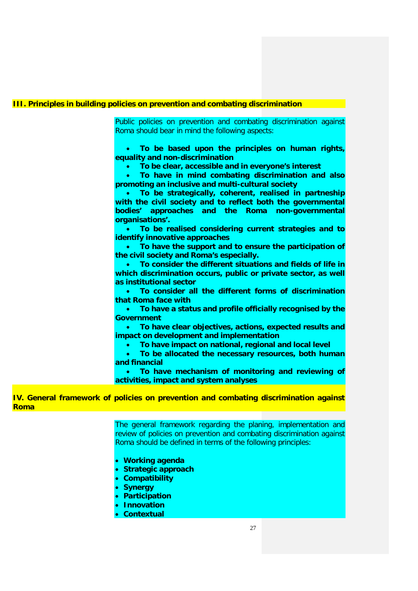#### **III. Principles in building policies on prevention and combating discrimination**

Public policies on prevention and combating discrimination against Roma should bear in mind the following aspects:

• **To be based upon the principles on human rights, equality and non-discrimination** 

• **To be clear, accessible and in everyone's interest** 

• **To have in mind combating discrimination and also promoting an inclusive and multi-cultural society** 

• **To be strategically, coherent, realised in partneship with the civil society and to reflect both the governmental bodies' approaches and the Roma non-governmental organisations'.** 

• **To be realised considering current strategies and to identify innovative approaches** 

• **To have the support and to ensure the participation of the civil society and Roma's especially.** 

• **To consider the different situations and fields of life in which discrimination occurs, public or private sector, as well as institutional sector** 

• **To consider all the different forms of discrimination that Roma face with** 

• **To have a status and profile officially recognised by the Government** 

• **To have clear objectives, actions, expected results and impact on development and implementation** 

• **To have impact on national, regional and local level** 

• **To be allocated the necessary resources, both human and financial**

• **To have mechanism of monitoring and reviewing of activities, impact and system analyses** 

**IV. General framework of policies on prevention and combating discrimination against Roma** 

> The general framework regarding the planing, implementation and review of policies on prevention and combating discrimination against Roma should be defined in terms of the following principles:

- **Working agenda**
- **Strategic approach**
- **Compatibility**
- **Synergy**
- **Participation**
- **Innovation**
- **Contextual**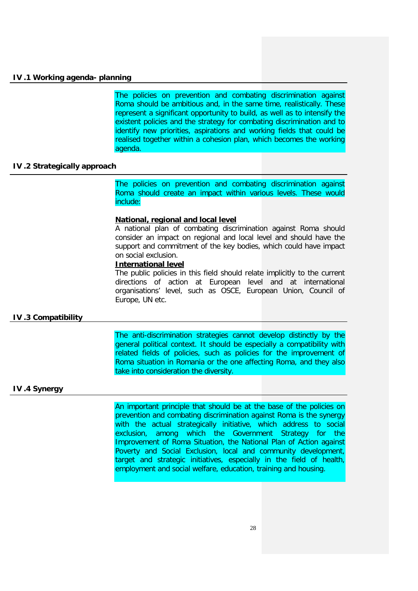#### **IV .1 Working agenda- planning**

The policies on prevention and combating discrimination against Roma should be ambitious and, in the same time, realistically. These represent a significant opportunity to build, as well as to intensify the existent policies and the strategy for combating discrimination and to identify new priorities, aspirations and working fields that could be realised together within a cohesion plan, which becomes the working agenda.

## **IV .2 Strategically approach**

The policies on prevention and combating discrimination against Roma should create an impact within various levels. These would include:

### **National, regional and local level**

A national plan of combating discrimination against Roma should consider an impact on regional and local level and should have the support and commitment of the key bodies, which could have impact on social exclusion.

## **International level**

The public policies in this field should relate implicitly to the current directions of action at European level and at international organisations' level, such as OSCE, European Union, Council of Europe, UN etc.

#### **IV .3 Compatibility**

The anti-discrimination strategies cannot develop distinctly by the general political context. It should be especially a compatibility with related fields of policies, such as policies for the improvement of Roma situation in Romania or the one affecting Roma, and they also take into consideration the diversity.

## **IV .4 Synergy**

An important principle that should be at the base of the policies on prevention and combating discrimination against Roma is the synergy with the actual strategically initiative, which address to social exclusion, among which the Government Strategy for the Improvement of Roma Situation, the National Plan of Action against Poverty and Social Exclusion, local and community development, target and strategic initiatives, especially in the field of health, employment and social welfare, education, training and housing.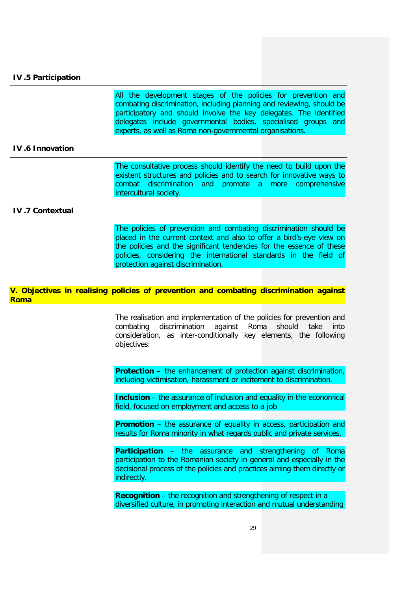#### **IV .5 Participation**

All the development stages of the policies for prevention and combating discrimination, including planning and reviewing, should be participatory and should involve the key delegates. The identified delegates include governmental bodies, specialised groups and experts, as well as Roma non-governmental organisations.

### **IV .6 Innovation**

The consultative process should identify the need to build upon the existent structures and policies and to search for innovative ways to combat discrimination and promote a more comprehensive intercultural society.

#### **IV .7 Contextual**

The policies of prevention and combating discrimination should be placed in the current context and also to offer a bird's-eye view on the policies and the significant tendencies for the essence of these policies, considering the international standards in the field of protection against discrimination.

## **V. Objectives in realising policies of prevention and combating discrimination against Roma**

The realisation and implementation of the policies for prevention and combating discrimination against Roma should take into consideration, as inter-conditionally key elements, the following objectives:

**Protection –** the enhancement of protection against discrimination, including victimisation, harassment or incitement to discrimination.

**Inclusion** – the assurance of inclusion and equality in the economical field, focused on employment and access to a job

**Promotion** – the assurance of equality in access, participation and results for Roma minority in what regards public and private services.

**Participation** – the assurance and strengthening of Roma participation to the Romanian society in general and especially in the decisional process of the policies and practices aiming them directly or indirectly.

**Recognition** – the recognition and strengthening of respect in a diversified culture, in promoting interaction and mutual understanding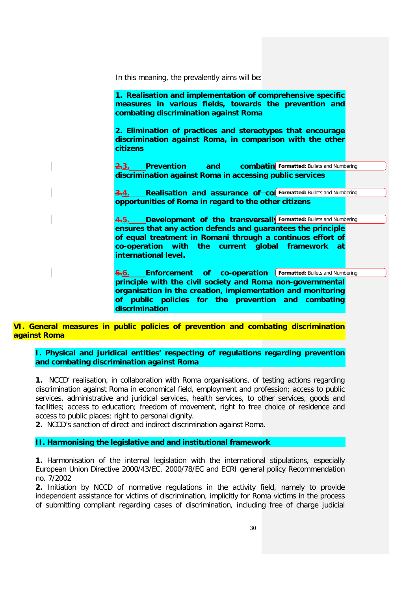In this meaning, the prevalently aims will be:

**1. Realisation and implementation of comprehensive specific measures in various fields, towards the prevention and combating discrimination against Roma 2. Elimination of practices and stereotypes that encourage discrimination against Roma, in comparison with the other citizens 2.3. Prevention** and **discrimination against Roma in accessing public services 3.4. Realisation and assurance of con** Formatted: Bullets and Numbering **opportunities of Roma in regard to the other citizens 4.5. Development of the transversally Formatted: Bullets and Numbering ensures that any action defends and guarantees the principle of equal treatment in Romani through a continuos effort of co-operation with the current global framework at international level. 5.6. Enforcement of co-operation** Formatted: Bullets and Numbering **principle with the civil society and Roma non-governmental organisation in the creation, implementation and monitoring of public policies for the prevention and combating discrimination COMbatim** Formatted: Bullets and Numbering

**VI. General measures in public policies of prevention and combating discrimination against Roma** 

**I. Physical and juridical entities' respecting of regulations regarding prevention and combating discrimination against Roma** 

**1.** NCCD' realisation, in collaboration with Roma organisations, of testing actions regarding discrimination against Roma in economical field, employment and profession; access to public services, administrative and juridical services, health services, to other services, goods and facilities; access to education; freedom of movement, right to free choice of residence and access to public places; right to personal dignity.

**2.** NCCD's sanction of direct and indirect discrimination against Roma.

#### **II. Harmonising the legislative and and institutional framework**

**1.** Harmonisation of the internal legislation with the international stipulations, especially European Union Directive 2000/43/EC, 2000/78/EC and ECRI general policy Recommendation no. 7/2002

**2.** Initiation by NCCD of normative regulations in the activity field, namely to provide independent assistance for victims of discrimination, implicitly for Roma victims in the process of submitting compliant regarding cases of discrimination, including free of charge judicial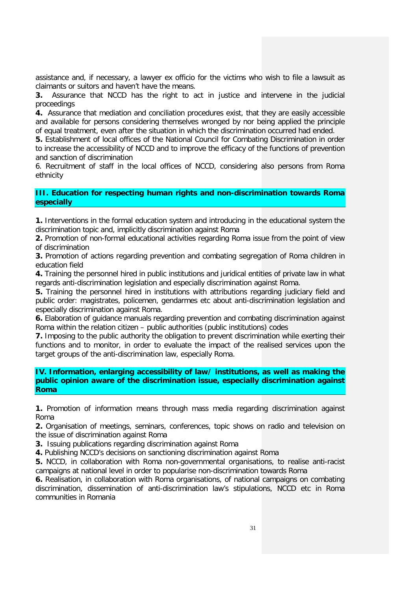assistance and, if necessary, a lawyer ex officio for the victims who wish to file a lawsuit as claimants or suitors and haven't have the means.

**3.** Assurance that NCCD has the right to act in justice and intervene in the judicial proceedings

**4.** Assurance that mediation and conciliation procedures exist, that they are easily accessible and available for persons considering themselves wronged by nor being applied the principle of equal treatment, even after the situation in which the discrimination occurred had ended.

**5.** Establishment of local offices of the National Council for Combating Discrimination in order to increase the accessibility of NCCD and to improve the efficacy of the functions of prevention and sanction of discrimination

6. Recruitment of staff in the local offices of NCCD, considering also persons from Roma ethnicity

## **III. Education for respecting human rights and non-discrimination towards Roma especially**

**1.** Interventions in the formal education system and introducing in the educational system the discrimination topic and, implicitly discrimination against Roma

**2.** Promotion of non-formal educational activities regarding Roma issue from the point of view of discrimination

**3.** Promotion of actions regarding prevention and combating segregation of Roma children in education field

**4.** Training the personnel hired in public institutions and juridical entities of private law in what regards anti-discrimination legislation and especially discrimination against Roma.

**5.** Training the personnel hired in institutions with attributions regarding judiciary field and public order: magistrates, policemen, gendarmes etc about anti-discrimination legislation and especially discrimination against Roma.

**6.** Elaboration of guidance manuals regarding prevention and combating discrimination against Roma within the relation citizen – public authorities (public institutions) codes

**7.** Imposing to the public authority the obligation to prevent discrimination while exerting their functions and to monitor, in order to evaluate the impact of the realised services upon the target groups of the anti-discrimination law, especially Roma.

## **IV. Information, enlarging accessibility of law/ institutions, as well as making the public opinion aware of the discrimination issue, especially discrimination against Roma**

**1.** Promotion of information means through mass media regarding discrimination against Roma

**2.** Organisation of meetings, seminars, conferences, topic shows on radio and television on the issue of discrimination against Roma

**3.** Issuing publications regarding discrimination against Roma

**4.** Publishing NCCD's decisions on sanctioning discrimination against Roma

**5.** NCCD, in collaboration with Roma non-governmental organisations, to realise anti-racist campaigns at national level in order to popularise non-discrimination towards Roma

**6.** Realisation, in collaboration with Roma organisations, of national campaigns on combating discrimination, dissemination of anti-discrimination law's stipulations, NCCD etc in Roma communities in Romania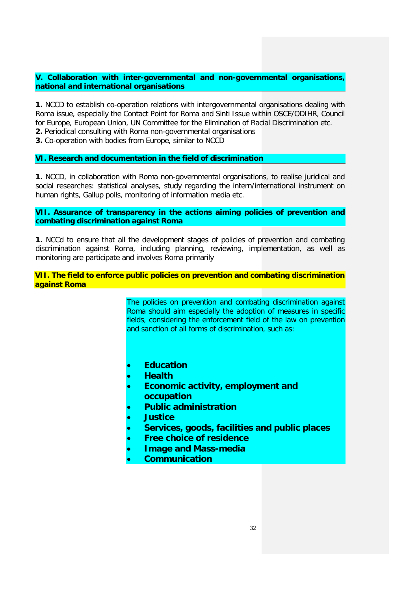## **V. Collaboration with inter-governmental and non-governmental organisations, national and international organisations**

**1.** NCCD to establish co-operation relations with intergovernmental organisations dealing with Roma issue, especially the Contact Point for Roma and Sinti Issue within OSCE/ODIHR, Council for Europe, European Union, UN Committee for the Elimination of Racial Discrimination etc. **2.** Periodical consulting with Roma non-governmental organisations

**3.** Co-operation with bodies from Europe, similar to NCCD

## **VI. Research and documentation in the field of discrimination**

**1.** NCCD, in collaboration with Roma non-governmental organisations, to realise juridical and social researches: statistical analyses, study regarding the intern/international instrument on human rights, Gallup polls, monitoring of information media etc.

## **VII. Assurance of transparency in the actions aiming policies of prevention and combating discrimination against Roma**

**1.** NCCd to ensure that all the development stages of policies of prevention and combating discrimination against Roma, including planning, reviewing, implementation, as well as monitoring are participate and involves Roma primarily

## **VII. The field to enforce public policies on prevention and combating discrimination against Roma**

The policies on prevention and combating discrimination against Roma should aim especially the adoption of measures in specific fields, considering the enforcement field of the law on prevention and sanction of all forms of discrimination, such as:

- **Education**
- **Health**
- **Economic activity, employment and occupation**
- **Public administration**
- **Justice**
- **Services, goods, facilities and public places**
- **Free choice of residence**
- **Image and Mass-media**
- **Communication**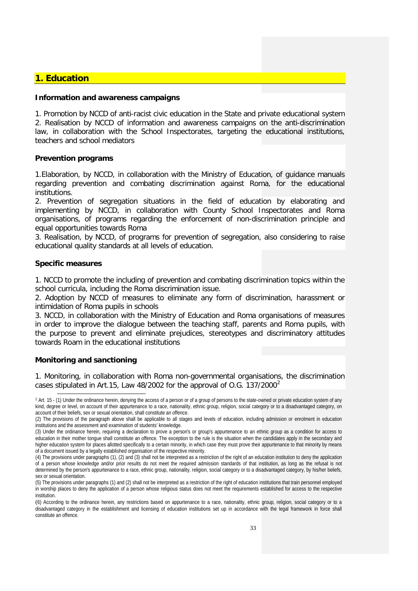# **1. Education**

### **Information and awareness campaigns**

1. Promotion by NCCD of anti-racist civic education in the State and private educational system 2. Realisation by NCCD of information and awareness campaigns on the anti-discrimination law, in collaboration with the School Inspectorates, targeting the educational institutions, teachers and school mediators

### **Prevention programs**

1.Elaboration, by NCCD, in collaboration with the Ministry of Education, of guidance manuals regarding prevention and combating discrimination against Roma, for the educational institutions.

2. Prevention of segregation situations in the field of education by elaborating and implementing by NCCD, in collaboration with County School Inspectorates and Roma organisations, of programs regarding the enforcement of non-discrimination principle and equal opportunities towards Roma

3. Realisation, by NCCD, of programs for prevention of segregation, also considering to raise educational quality standards at all levels of education.

### **Specific measures**

1. NCCD to promote the including of prevention and combating discrimination topics within the school curricula, including the Roma discrimination issue.

2. Adoption by NCCD of measures to eliminate any form of discrimination, harassment or intimidation of Roma pupils in schools

3. NCCD, in collaboration with the Ministry of Education and Roma organisations of measures in order to improve the dialogue between the teaching staff, parents and Roma pupils, with the purpose to prevent and eliminate prejudices, stereotypes and discriminatory attitudes towards Roam in the educational institutions

## **Monitoring and sanctioning**

1

1. Monitoring, in collaboration with Roma non-governmental organisations, the discrimination cases stipulated in Art.15, Law 48/[2](#page-32-0)002 for the approval of O.G.  $137/2000^2$ 

<sup>&</sup>lt;sup>2</sup> Art. 15 - (1) Under the ordinance herein, denying the access of a person or of a group of persons to the state-owned or private education system of any kind, degree or level, on account of their appurtenance to a race, nationality, ethnic group, religion, social category or to a disadvantaged category, on account of their beliefs, sex or sexual orientation, shall constitute an offence.

<span id="page-32-0"></span><sup>(2)</sup> The provisions of the paragraph above shall be applicable to all stages and levels of education, including admission or enrolment in education institutions and the assessment and examination of students' knowledge.

<sup>(3)</sup> Under the ordinance herein, requiring a declaration to prove a person's or group's appurtenance to an ethnic group as a condition for access to education in their mother tongue shall constitute an offence. The exception to the rule is the situation when the candidates apply in the secondary and higher education system for places allotted specifically to a certain minority, in which case they must prove their appurtenance to that minority by means of a document issued by a legally established organisation of the respective minority.

<sup>(4)</sup> The provisions under paragraphs (1), (2) and (3) shall not be interpreted as a restriction of the right of an education institution to deny the application of a person whose knowledge and/or prior results do not meet the required admission standards of that institution, as long as the refusal is not determined by the person's appurtenance to a race, ethnic group, nationality, religion, social category or to a disadvantaged category, by his/her beliefs, sex or sexual orientation.

<sup>(5)</sup> The provisions under paragraphs (1) and (2) shall not be interpreted as a restriction of the right of education institutions that train personnel employed in worship places to deny the application of a person whose religious status does not meet the requirements established for access to the respective institution.

<sup>(</sup>6) According to the ordinance herein, any restrictions based on appurtenance to a race, nationality, ethnic group, religion, social category or to a disadvantaged category in the establishment and licensing of education institutions set up in accordance with the legal framework in force shall constitute an offence.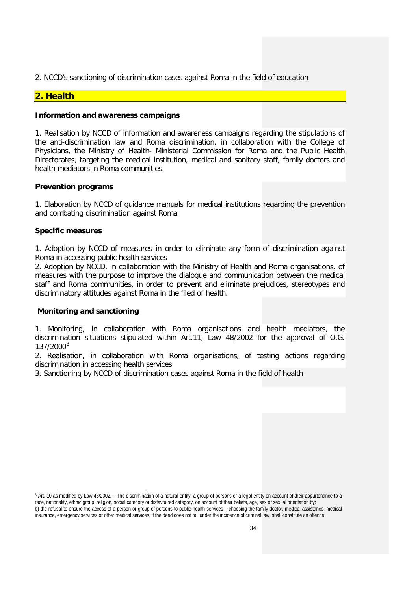2. NCCD's sanctioning of discrimination cases against Roma in the field of education

# **2. Health**

## **Information and awareness campaigns**

1. Realisation by NCCD of information and awareness campaigns regarding the stipulations of the anti-discrimination law and Roma discrimination, in collaboration with the College of Physicians, the Ministry of Health- Ministerial Commission for Roma and the Public Health Directorates, targeting the medical institution, medical and sanitary staff, family doctors and health mediators in Roma communities.

## **Prevention programs**

1. Elaboration by NCCD of guidance manuals for medical institutions regarding the prevention and combating discrimination against Roma

## **Specific measures**

1. Adoption by NCCD of measures in order to eliminate any form of discrimination against Roma in accessing public health services

2. Adoption by NCCD, in collaboration with the Ministry of Health and Roma organisations, of measures with the purpose to improve the dialogue and communication between the medical staff and Roma communities, in order to prevent and eliminate prejudices, stereotypes and discriminatory attitudes against Roma in the filed of health.

# **Monitoring and sanctioning**

1. Monitoring, in collaboration with Roma organisations and health mediators, the discrimination situations stipulated within Art.11, Law 48/2002 for the approval of O.G. 1[3](#page-33-0)7/2000<sup>3</sup>

2. Realisation, in collaboration with Roma organisations, of testing actions regarding discrimination in accessing health services

3. Sanctioning by NCCD of discrimination cases against Roma in the field of health

<span id="page-33-0"></span><sup>-</sup><sup>3</sup> Art. 10 as modified by Law 48/2002. – The discrimination of a natural entity, a group of persons or a legal entity on account of their appurtenance to a race, nationality, ethnic group, religion, social category or disfavoured category, on account of their beliefs, age, sex or sexual orientation by: b) the refusal to ensure the access of a person or group of persons to public health services – choosing the family doctor, medical assistance, medical insurance, emergency services or other medical services, if the deed does not fall under the incidence of criminal law, shall constitute an offence.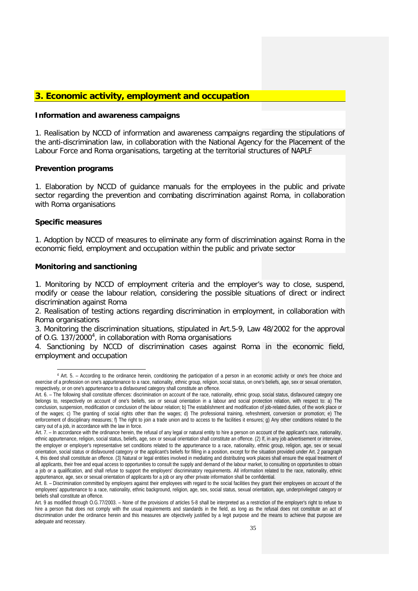# **3. Economic activity, employment and occupation**

#### **Information and awareness campaigns**

1. Realisation by NCCD of information and awareness campaigns regarding the stipulations of the anti-discrimination law, in collaboration with the National Agency for the Placement of the Labour Force and Roma organisations, targeting at the territorial structures of NAPLF

### **Prevention programs**

1. Elaboration by NCCD of guidance manuals for the employees in the public and private sector regarding the prevention and combating discrimination against Roma, in collaboration with Roma organisations

### **Specific measures**

1. Adoption by NCCD of measures to eliminate any form of discrimination against Roma in the economic field, employment and occupation within the public and private sector

### **Monitoring and sanctioning**

1. Monitoring by NCCD of employment criteria and the employer's way to close, suspend, modify or cease the labour relation, considering the possible situations of direct or indirect discrimination against Roma

2. Realisation of testing actions regarding discrimination in employment, in collaboration with Roma organisations

3. Monitoring the discrimination situations, stipulated in Art.5-9, Law 48/2002 for the approval of O.G. 137/2000<sup>[4](#page-34-0)</sup>, in collaboration with Roma organisations

4. Sanctioning by NCCD of discrimination cases against Roma in the economic field, employment and occupation

<sup>-</sup><sup>4</sup> Art. 5. – According to the ordinance herein, conditioning the participation of a person in an economic activity or one's free choice and exercise of a profession on one's appurtenance to a race, nationality, ethnic group, religion, social status, on one's beliefs, age, sex or sexual orientation, respectively, or on one's appurtenance to a disfavoured category shall constitute an offence.

<span id="page-34-0"></span>Art. 6. – The following shall constitute offences: discrimination on account of the race, nationality, ethnic group, social status, disfavoured category one belongs to, respectively on account of one's beliefs, sex or sexual orientation in a labour and social protection relation, with respect to: a) The conclusion, suspension, modification or conclusion of the labour relation; b) The establishment and modification of job-related duties, of the work place or of the wages; c) The granting of social rights other than the wages; d) The professional training, refreshment, conversion or promotion; e) The enforcement of disciplinary measures; f) The right to join a trade union and to access to the facilities it ensures; g) Any other conditions related to the carry out of a job, in accordance with the law in force.

Art. 7. – In accordance with the ordinance herein, the refusal of any legal or natural entity to hire a person on account of the applicant's race, nationality, ethnic appurtenance, religion, social status, beliefs, age, sex or sexual orientation shall constitute an offence. (2) If, in any job advertisement or interview, the employer or employer's representative set conditions related to the appurtenance to a race, nationality, ethnic group, religion, age, sex or sexual orientation, social status or disfavoured category or the applicant's beliefs for filling in a position, except for the situation provided under Art. 2 paragraph 4, this deed shall constitute an offence. (3) Natural or legal entities involved in mediating and distributing work places shall ensure the equal treatment of all applicants, their free and equal access to opportunities to consult the supply and demand of the labour market, to consulting on opportunities to obtain a job or a qualification, and shall refuse to support the employers' discriminatory requirements. All information related to the race, nationality, ethnic appurtenance, age, sex or sexual orientation of applicants for a job or any other private information shall be confidential.

Art. 8. – Discrimination committed by employers against their employees with regard to the social facilities they grant their employees on account of the employees' appurtenance to a race, nationality, ethnic background, religion, age, sex, social status, sexual orientation, age, underprivileged category or beliefs shall constitute an offence.

Art. 9 as modified through O.G.77/2003. – None of the provisions of articles 5-8 shall be interpreted as a restriction of the employer's right to refuse to hire a person that does not comply with the usual requirements and standards in the field, as long as the refusal does not constitute an act of discrimination under the ordinance herein and this measures are objectively justified by a legit purpose and the means to achieve that purpose are adequate and necessary.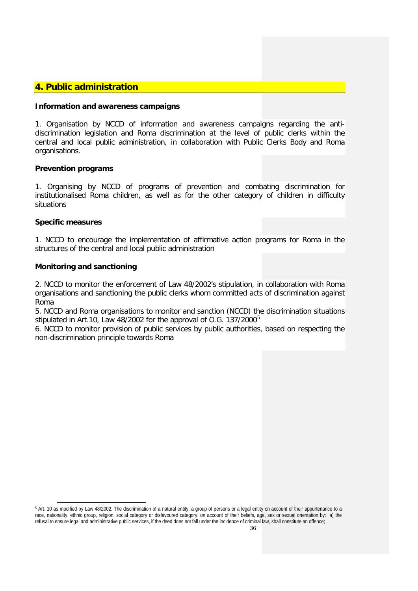# **4. Public administration**

## **Information and awareness campaigns**

1. Organisation by NCCD of information and awareness campaigns regarding the antidiscrimination legislation and Roma discrimination at the level of public clerks within the central and local public administration, in collaboration with Public Clerks Body and Roma organisations.

### **Prevention programs**

1. Organising by NCCD of programs of prevention and combating discrimination for institutionalised Roma children, as well as for the other category of children in difficulty situations

### **Specific measures**

1. NCCD to encourage the implementation of affirmative action programs for Roma in the structures of the central and local public administration

### **Monitoring and sanctioning**

2. NCCD to monitor the enforcement of Law 48/2002's stipulation, in collaboration with Roma organisations and sanctioning the public clerks whom committed acts of discrimination against Roma

5. NCCD and Roma organisations to monitor and sanction (NCCD) the discrimination situations stipulated in Art.10, Law 48/2002 for the approval of O.G.  $137/2000^5$  $137/2000^5$ 

6. NCCD to monitor provision of public services by public authorities, based on respecting the non-discrimination principle towards Roma

<span id="page-35-0"></span><sup>-</sup><sup>5</sup> Art. 10 as modified by Law 48/2002: The discrimination of a natural entity, a group of persons or a legal entity on account of their appurtenance to a race, nationality, ethnic group, religion, social category or disfavoured category, on account of their beliefs, age, sex or sexual orientation by: a) the refusal to ensure legal and administrative public services, if the deed does not fall under the incidence of criminal law, shall constitute an offence;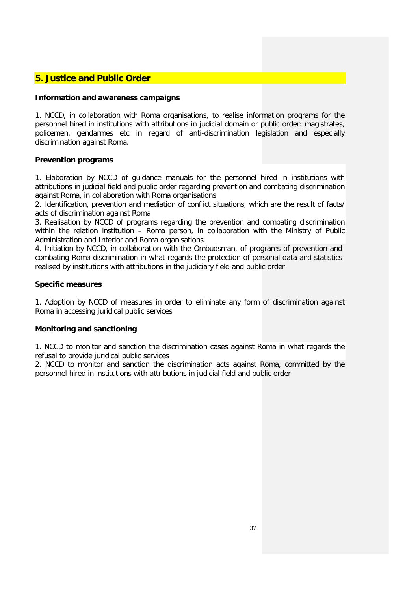# **5. Justice and Public Order**

## **Information and awareness campaigns**

1. NCCD, in collaboration with Roma organisations, to realise information programs for the personnel hired in institutions with attributions in judicial domain or public order: magistrates, policemen, gendarmes etc in regard of anti-discrimination legislation and especially discrimination against Roma.

### **Prevention programs**

1. Elaboration by NCCD of guidance manuals for the personnel hired in institutions with attributions in judicial field and public order regarding prevention and combating discrimination against Roma, in collaboration with Roma organisations

2. Identification, prevention and mediation of conflict situations, which are the result of facts/ acts of discrimination against Roma

3. Realisation by NCCD of programs regarding the prevention and combating discrimination within the relation institution – Roma person, in collaboration with the Ministry of Public Administration and Interior and Roma organisations

4. Initiation by NCCD, in collaboration with the Ombudsman, of programs of prevention and combating Roma discrimination in what regards the protection of personal data and statistics realised by institutions with attributions in the judiciary field and public order

## **Specific measures**

1. Adoption by NCCD of measures in order to eliminate any form of discrimination against Roma in accessing juridical public services

## **Monitoring and sanctioning**

1. NCCD to monitor and sanction the discrimination cases against Roma in what regards the refusal to provide juridical public services

2. NCCD to monitor and sanction the discrimination acts against Roma, committed by the personnel hired in institutions with attributions in judicial field and public order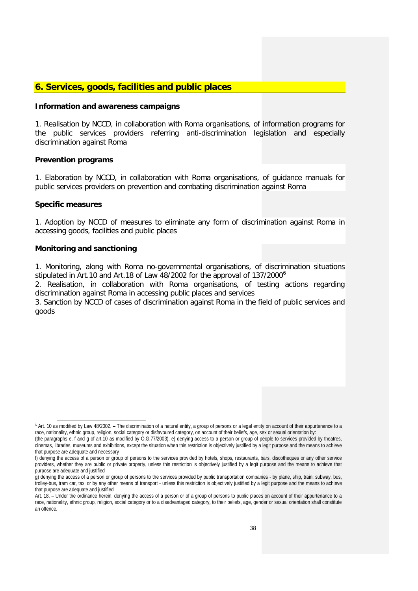# **6. Services, goods, facilities and public places**

#### **Information and awareness campaigns**

1. Realisation by NCCD, in collaboration with Roma organisations, of information programs for the public services providers referring anti-discrimination legislation and especially discrimination against Roma

### **Prevention programs**

1. Elaboration by NCCD, in collaboration with Roma organisations, of guidance manuals for public services providers on prevention and combating discrimination against Roma

### **Specific measures**

1. Adoption by NCCD of measures to eliminate any form of discrimination against Roma in accessing goods, facilities and public places

## **Monitoring and sanctioning**

1. Monitoring, along with Roma no-governmental organisations, of discrimination situations stipulated in Art.10 and Art.18 of Law  $48/2002$  for the approval of 137/2000<sup>[6](#page-37-0)</sup>

2. Realisation, in collaboration with Roma organisations, of testing actions regarding discrimination against Roma in accessing public places and services

3. Sanction by NCCD of cases of discrimination against Roma in the field of public services and goods

<sup>1</sup> <sup>6</sup> Art. 10 as modified by Law 48/2002. – The discrimination of a natural entity, a group of persons or a legal entity on account of their appurtenance to a race, nationality, ethnic group, religion, social category or disfavoured category, on account of their beliefs, age, sex or sexual orientation by:

<span id="page-37-0"></span><sup>(</sup>the paragraphs e, f and g of art.10 as modified by O.G.77/2003). e) denying access to a person or group of people to services provided by theatres, cinemas, libraries, museums and exhibitions, except the situation when this restriction is objectively justified by a legit purpose and the means to achieve that purpose are adequate and necessary

f) denying the access of a person or group of persons to the services provided by hotels, shops, restaurants, bars, discotheques or any other service providers, whether they are public or private property, unless this restriction is objectively justified by a legit purpose and the means to achieve that purpose are adequate and justified

g) denying the access of a person or group of persons to the services provided by public transportation companies - by plane, ship, train, subway, bus, trolley-bus, tram car, taxi or by any other means of transport - unless this restriction is objectively justified by a legit purpose and the means to achieve that purpose are adequate and justified

Art. 18. – Under the ordinance herein, denying the access of a person or of a group of persons to public places on account of their appurtenance to a race, nationality, ethnic group, religion, social category or to a disadvantaged category, to their beliefs, age, gender or sexual orientation shall constitute an offence.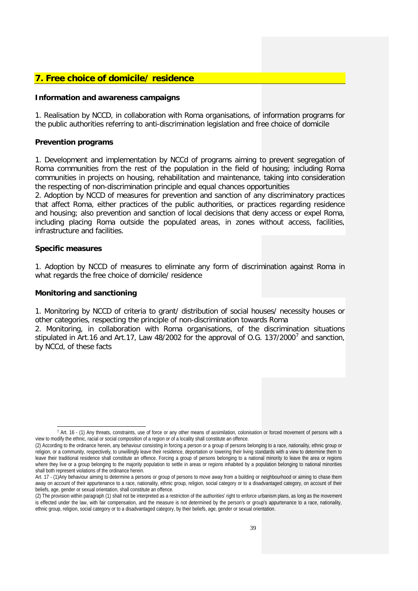# **7. Free choice of domicile/ residence**

### **Information and awareness campaigns**

1. Realisation by NCCD, in collaboration with Roma organisations, of information programs for the public authorities referring to anti-discrimination legislation and free choice of domicile

### **Prevention programs**

1. Development and implementation by NCCd of programs aiming to prevent segregation of Roma communities from the rest of the population in the field of housing; including Roma communities in projects on housing, rehabilitation and maintenance, taking into consideration the respecting of non-discrimination principle and equal chances opportunities

2. Adoption by NCCD of measures for prevention and sanction of any discriminatory practices that affect Roma, either practices of the public authorities, or practices regarding residence and housing; also prevention and sanction of local decisions that deny access or expel Roma, including placing Roma outside the populated areas, in zones without access, facilities, infrastructure and facilities.

### **Specific measures**

-

1. Adoption by NCCD of measures to eliminate any form of discrimination against Roma in what regards the free choice of domicile/ residence

### **Monitoring and sanctioning**

1. Monitoring by NCCD of criteria to grant/ distribution of social houses/ necessity houses or other categories, respecting the principle of non-discrimination towards Roma

2. Monitoring, in collaboration with Roma organisations, of the discrimination situations stipulated in Art.16 and Art.1[7](#page-38-0), Law 48/2002 for the approval of O.G. 137/2000<sup>7</sup> and sanction, by NCCd, of these facts

<sup>7</sup> Art. 16 - (1) Any threats, constraints, use of force or any other means of assimilation, colonisation or forced movement of persons with a view to modify the ethnic, racial or social composition of a region or of a locality shall constitute an offence.

<span id="page-38-0"></span><sup>(2)</sup> According to the ordinance herein, any behaviour consisting in forcing a person or a group of persons belonging to a race, nationality, ethnic group or religion, or a community, respectively, to unwillingly leave their residence, deportation or lowering their living standards with a view to determine them to leave their traditional residence shall constitute an offence. Forcing a group of persons belonging to a national minority to leave the area or regions where they live or a group belonging to the majority population to settle in areas or regions inhabited by a population belonging to national minorities shall both represent violations of the ordinance herein.

Art. 17 - (1)Any behaviour aiming to determine a persons or group of persons to move away from a building or neighbourhood or aiming to chase them away on account of their appurtenance to a race, nationality, ethnic group, religion, social category or to a disadvantaged category, on account of their beliefs, age, gender or sexual orientation, shall constitute an offence.

<sup>(2)</sup> The provision within paragraph (1) shall not be interpreted as a restriction of the authorities' right to enforce urbanism plans, as long as the movement is effected under the law, with fair compensation, and the measure is not determined by the person's or group's appurtenance to a race, nationality, ethnic group, religion, social category or to a disadvantaged category, by their beliefs, age, gender or sexual orientation.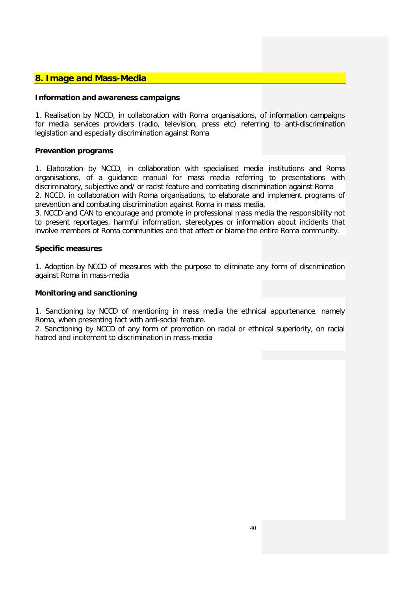# **8. Image and Mass-Media**

## **Information and awareness campaigns**

1. Realisation by NCCD, in collaboration with Roma organisations, of information campaigns for media services providers (radio, television, press etc) referring to anti-discrimination legislation and especially discrimination against Roma

### **Prevention programs**

1. Elaboration by NCCD, in collaboration with specialised media institutions and Roma organisations, of a guidance manual for mass media referring to presentations with discriminatory, subjective and/ or racist feature and combating discrimination against Roma 2. NCCD, in collaboration with Roma organisations, to elaborate and implement programs of prevention and combating discrimination against Roma in mass media.

3. NCCD and CAN to encourage and promote in professional mass media the responsibility not to present reportages, harmful information, stereotypes or information about incidents that involve members of Roma communities and that affect or blame the entire Roma community.

### **Specific measures**

1. Adoption by NCCD of measures with the purpose to eliminate any form of discrimination against Roma in mass-media

#### **Monitoring and sanctioning**

1. Sanctioning by NCCD of mentioning in mass media the ethnical appurtenance, namely Roma, when presenting fact with anti-social feature.

2. Sanctioning by NCCD of any form of promotion on racial or ethnical superiority, on racial hatred and incitement to discrimination in mass-media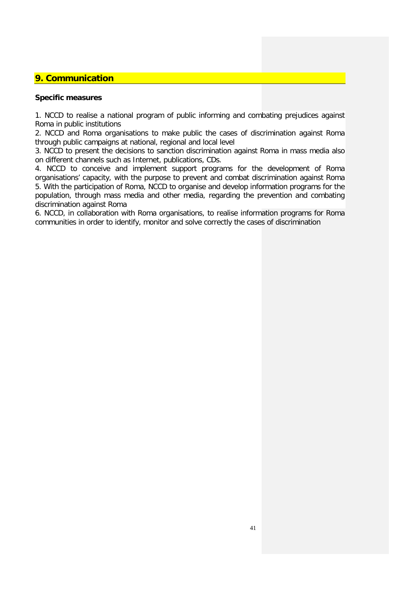# **9. Communication**

### **Specific measures**

1. NCCD to realise a national program of public informing and combating prejudices against Roma in public institutions

2. NCCD and Roma organisations to make public the cases of discrimination against Roma through public campaigns at national, regional and local level

3. NCCD to present the decisions to sanction discrimination against Roma in mass media also on different channels such as Internet, publications, CDs.

4. NCCD to conceive and implement support programs for the development of Roma organisations' capacity, with the purpose to prevent and combat discrimination against Roma 5. With the participation of Roma, NCCD to organise and develop information programs for the population, through mass media and other media, regarding the prevention and combating discrimination against Roma

6. NCCD, in collaboration with Roma organisations, to realise information programs for Roma communities in order to identify, monitor and solve correctly the cases of discrimination